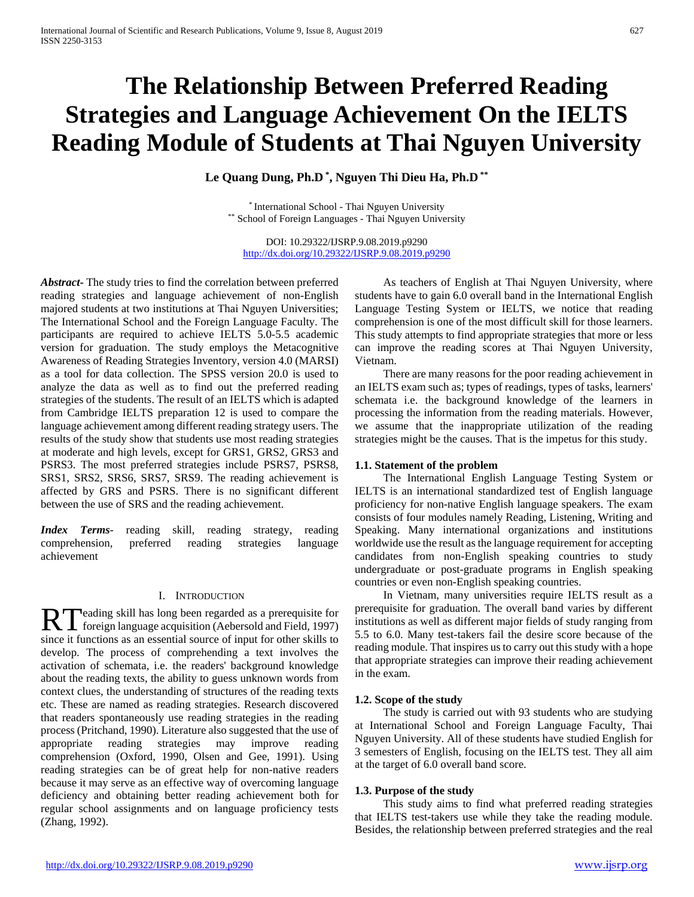# **The Relationship Between Preferred Reading Strategies and Language Achievement On the IELTS Reading Module of Students at Thai Nguyen University**

**Le Quang Dung, Ph.D \* , Nguyen Thi Dieu Ha, Ph.D \*\***

\* International School - Thai Nguyen University \*\* School of Foreign Languages - Thai Nguyen University

DOI: 10.29322/IJSRP.9.08.2019.p9290 <http://dx.doi.org/10.29322/IJSRP.9.08.2019.p9290>

*Abstract***-** The study tries to find the correlation between preferred reading strategies and language achievement of non-English majored students at two institutions at Thai Nguyen Universities; The International School and the Foreign Language Faculty. The participants are required to achieve IELTS 5.0-5.5 academic version for graduation. The study employs the Metacognitive Awareness of Reading Strategies Inventory, version 4.0 (MARSI) as a tool for data collection. The SPSS version 20.0 is used to analyze the data as well as to find out the preferred reading strategies of the students. The result of an IELTS which is adapted from Cambridge IELTS preparation 12 is used to compare the language achievement among different reading strategy users. The results of the study show that students use most reading strategies at moderate and high levels, except for GRS1, GRS2, GRS3 and PSRS3. The most preferred strategies include PSRS7, PSRS8, SRS1, SRS2, SRS6, SRS7, SRS9. The reading achievement is affected by GRS and PSRS. There is no significant different between the use of SRS and the reading achievement.

*Index Terms*- reading skill, reading strategy, reading comprehension, preferred reading strategies language achievement

#### I. INTRODUCTION

eading skill has long been regarded as a prerequisite for RT reading skill has long been regarded as a prerequisite for foreign language acquisition (Aebersold and Field, 1997) since it functions as an essential source of input for other skills to develop. The process of comprehending a text involves the activation of schemata, i.e. the readers' background knowledge about the reading texts, the ability to guess unknown words from context clues, the understanding of structures of the reading texts etc. These are named as reading strategies. Research discovered that readers spontaneously use reading strategies in the reading process (Pritchand, 1990). Literature also suggested that the use of appropriate reading strategies may improve reading comprehension (Oxford, 1990, Olsen and Gee, 1991). Using reading strategies can be of great help for non-native readers because it may serve as an effective way of overcoming language deficiency and obtaining better reading achievement both for regular school assignments and on language proficiency tests (Zhang, 1992).

 As teachers of English at Thai Nguyen University, where students have to gain 6.0 overall band in the International English Language Testing System or IELTS, we notice that reading comprehension is one of the most difficult skill for those learners. This study attempts to find appropriate strategies that more or less can improve the reading scores at Thai Nguyen University, Vietnam.

 There are many reasons for the poor reading achievement in an IELTS exam such as; types of readings, types of tasks, learners' schemata i.e. the background knowledge of the learners in processing the information from the reading materials. However, we assume that the inappropriate utilization of the reading strategies might be the causes. That is the impetus for this study.

#### **1.1. Statement of the problem**

 The International English Language Testing System or IELTS is an international standardized test of English language proficiency for non-native English language speakers. The exam consists of four modules namely Reading, Listening, Writing and Speaking. Many international organizations and institutions worldwide use the result as the language requirement for accepting candidates from non-English speaking countries to study undergraduate or post-graduate programs in English speaking countries or even non-English speaking countries.

 In Vietnam, many universities require IELTS result as a prerequisite for graduation. The overall band varies by different institutions as well as different major fields of study ranging from 5.5 to 6.0. Many test-takers fail the desire score because of the reading module. That inspires us to carry out this study with a hope that appropriate strategies can improve their reading achievement in the exam.

#### **1.2. Scope of the study**

 The study is carried out with 93 students who are studying at International School and Foreign Language Faculty, Thai Nguyen University. All of these students have studied English for 3 semesters of English, focusing on the IELTS test. They all aim at the target of 6.0 overall band score.

#### **1.3. Purpose of the study**

 This study aims to find what preferred reading strategies that IELTS test-takers use while they take the reading module. Besides, the relationship between preferred strategies and the real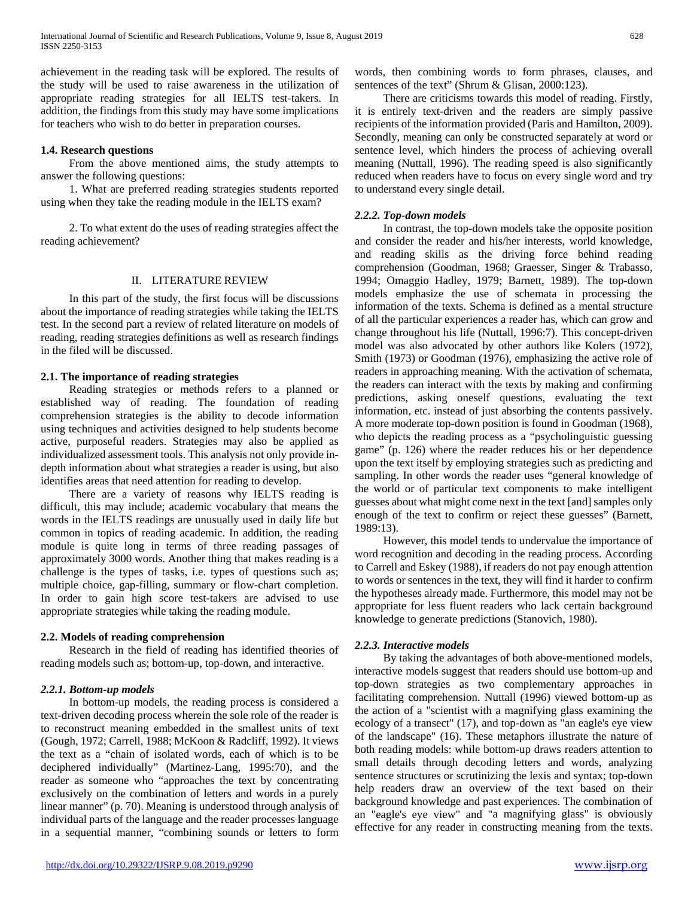achievement in the reading task will be explored. The results of the study will be used to raise awareness in the utilization of appropriate reading strategies for all IELTS test-takers. In addition, the findings from this study may have some implications for teachers who wish to do better in preparation courses.

## **1.4. Research questions**

 From the above mentioned aims, the study attempts to answer the following questions:

 1. What are preferred reading strategies students reported using when they take the reading module in the IELTS exam?

 2. To what extent do the uses of reading strategies affect the reading achievement?

# II. LITERATURE REVIEW

 In this part of the study, the first focus will be discussions about the importance of reading strategies while taking the IELTS test. In the second part a review of related literature on models of reading, reading strategies definitions as well as research findings in the filed will be discussed.

# **2.1. The importance of reading strategies**

 Reading strategies or methods refers to a planned or established way of reading. The foundation of reading comprehension strategies is the ability to decode information using techniques and activities designed to help students become active, purposeful readers. Strategies may also be applied as individualized assessment tools. This analysis not only provide indepth information about what strategies a reader is using, but also identifies areas that need attention for reading to develop.

 There are a variety of reasons why IELTS reading is difficult, this may include; academic vocabulary that means the words in the IELTS readings are unusually used in daily life but common in topics of reading academic. In addition, the reading module is quite long in terms of three reading passages of approximately 3000 words. Another thing that makes reading is a challenge is the types of tasks, i.e. types of questions such as; multiple choice, gap-filling, summary or flow-chart completion. In order to gain high score test-takers are advised to use appropriate strategies while taking the reading module.

# **2.2. Models of reading comprehension**

 Research in the field of reading has identified theories of reading models such as; bottom-up, top-down, and interactive.

# *2.2.1. Bottom-up models*

 In bottom-up models, the reading process is considered a text-driven decoding process wherein the sole role of the reader is to reconstruct meaning embedded in the smallest units of text (Gough, 1972; Carrell, 1988; McKoon & Radcliff, 1992). It views the text as a "chain of isolated words, each of which is to be deciphered individually" (Martinez-Lang, 1995:70), and the reader as someone who "approaches the text by concentrating exclusively on the combination of letters and words in a purely linear manner" (p. 70). Meaning is understood through analysis of individual parts of the language and the reader processes language in a sequential manner, "combining sounds or letters to form

 There are criticisms towards this model of reading. Firstly, it is entirely text-driven and the readers are simply passive recipients of the information provided (Paris and Hamilton, 2009). Secondly, meaning can only be constructed separately at word or sentence level, which hinders the process of achieving overall meaning (Nuttall, 1996). The reading speed is also significantly reduced when readers have to focus on every single word and try to understand every single detail.

# *2.2.2. Top-down models*

 In contrast, the top-down models take the opposite position and consider the reader and his/her interests, world knowledge, and reading skills as the driving force behind reading comprehension (Goodman, 1968; Graesser, Singer & Trabasso, 1994; Omaggio Hadley, 1979; Barnett, 1989). The top-down models emphasize the use of schemata in processing the information of the texts. Schema is defined as a mental structure of all the particular experiences a reader has, which can grow and change throughout his life (Nuttall, 1996:7). This concept-driven model was also advocated by other authors like Kolers (1972), Smith (1973) or Goodman (1976), emphasizing the active role of readers in approaching meaning. With the activation of schemata, the readers can interact with the texts by making and confirming predictions, asking oneself questions, evaluating the text information, etc. instead of just absorbing the contents passively. A more moderate top-down position is found in Goodman (1968), who depicts the reading process as a "psycholinguistic guessing game" (p. 126) where the reader reduces his or her dependence upon the text itself by employing strategies such as predicting and sampling. In other words the reader uses "general knowledge of the world or of particular text components to make intelligent guesses about what might come next in the text [and] samples only enough of the text to confirm or reject these guesses" (Barnett, 1989:13).

 However, this model tends to undervalue the importance of word recognition and decoding in the reading process. According to Carrell and Eskey (1988), if readers do not pay enough attention to words or sentences in the text, they will find it harder to confirm the hypotheses already made. Furthermore, this model may not be appropriate for less fluent readers who lack certain background knowledge to generate predictions (Stanovich, 1980).

# *2.2.3. Interactive models*

 By taking the advantages of both above-mentioned models, interactive models suggest that readers should use bottom-up and top-down strategies as two complementary approaches in facilitating comprehension. Nuttall (1996) viewed bottom-up as the action of a "scientist with a magnifying glass examining the ecology of a transect" (17), and top-down as "an eagle's eye view of the landscape" (16). These metaphors illustrate the nature of both reading models: while bottom-up draws readers attention to small details through decoding letters and words, analyzing sentence structures or scrutinizing the lexis and syntax; top-down help readers draw an overview of the text based on their background knowledge and past experiences. The combination of an "eagle's eye view" and "a magnifying glass" is obviously effective for any reader in constructing meaning from the texts.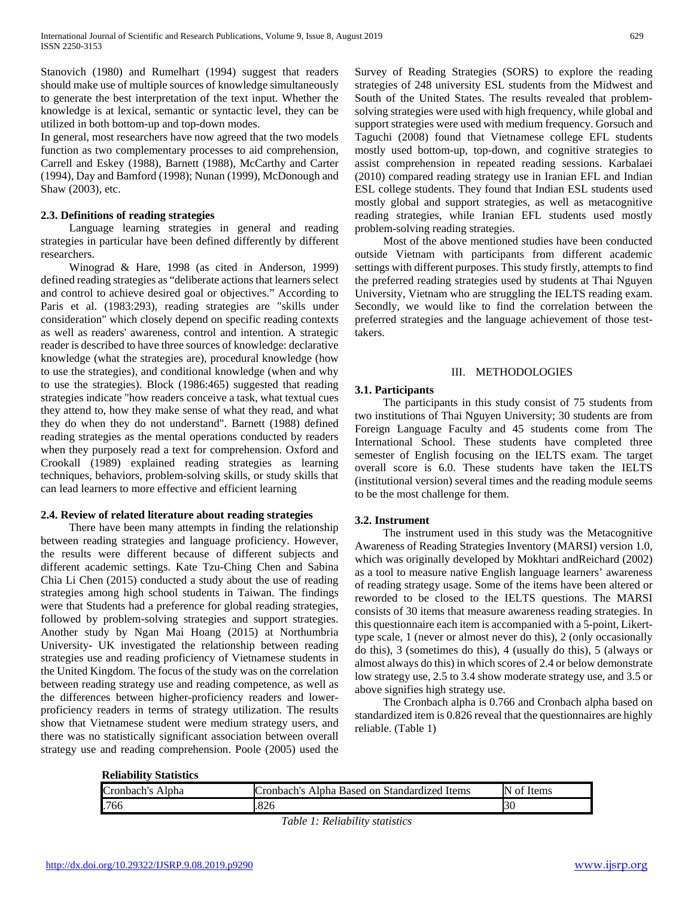Stanovich (1980) and Rumelhart (1994) suggest that readers should make use of multiple sources of knowledge simultaneously to generate the best interpretation of the text input. Whether the knowledge is at lexical, semantic or syntactic level, they can be utilized in both bottom-up and top-down modes.

In general, most researchers have now agreed that the two models function as two complementary processes to aid comprehension, Carrell and Eskey (1988), Barnett (1988), McCarthy and Carter (1994), Day and Bamford (1998); Nunan (1999), McDonough and Shaw (2003), etc.

## **2.3. Definitions of reading strategies**

 Language learning strategies in general and reading strategies in particular have been defined differently by different researchers.

 Winograd & Hare, 1998 (as cited in Anderson, 1999) defined reading strategies as "deliberate actions that learners select and control to achieve desired goal or objectives." According to Paris et al. (1983:293), reading strategies are "skills under consideration" which closely depend on specific reading contexts as well as readers' awareness, control and intention. A strategic reader is described to have three sources of knowledge: declarative knowledge (what the strategies are), procedural knowledge (how to use the strategies), and conditional knowledge (when and why to use the strategies). Block (1986:465) suggested that reading strategies indicate "how readers conceive a task, what textual cues they attend to, how they make sense of what they read, and what they do when they do not understand". Barnett (1988) defined reading strategies as the mental operations conducted by readers when they purposely read a text for comprehension. Oxford and Crookall (1989) explained reading strategies as learning techniques, behaviors, problem-solving skills, or study skills that can lead learners to more effective and efficient learning

### **2.4. Review of related literature about reading strategies**

 There have been many attempts in finding the relationship between reading strategies and language proficiency. However, the results were different because of different subjects and different academic settings. Kate Tzu-Ching Chen and Sabina Chia Li Chen (2015) conducted a study about the use of reading strategies among high school students in Taiwan. The findings were that Students had a preference for global reading strategies, followed by problem-solving strategies and support strategies. Another study by Ngan Mai Hoang (2015) at Northumbria University- UK investigated the relationship between reading strategies use and reading proficiency of Vietnamese students in the United Kingdom. The focus of the study was on the correlation between reading strategy use and reading competence, as well as the differences between higher-proficiency readers and lowerproficiency readers in terms of strategy utilization. The results show that Vietnamese student were medium strategy users, and there was no statistically significant association between overall strategy use and reading comprehension. Poole (2005) used the

Survey of Reading Strategies (SORS) to explore the reading strategies of 248 university ESL students from the Midwest and South of the United States. The results revealed that problemsolving strategies were used with high frequency, while global and support strategies were used with medium frequency. Gorsuch and Taguchi (2008) found that Vietnamese college EFL students mostly used bottom-up, top-down, and cognitive strategies to assist comprehension in repeated reading sessions. Karbalaei (2010) compared reading strategy use in Iranian EFL and Indian ESL college students. They found that Indian ESL students used mostly global and support strategies, as well as metacognitive reading strategies, while Iranian EFL students used mostly problem-solving reading strategies.

 Most of the above mentioned studies have been conducted outside Vietnam with participants from different academic settings with different purposes. This study firstly, attempts to find the preferred reading strategies used by students at Thai Nguyen University, Vietnam who are struggling the IELTS reading exam. Secondly, we would like to find the correlation between the preferred strategies and the language achievement of those testtakers.

# III. METHODOLOGIES

# **3.1. Participants**

 The participants in this study consist of 75 students from two institutions of Thai Nguyen University; 30 students are from Foreign Language Faculty and 45 students come from The International School. These students have completed three semester of English focusing on the IELTS exam. The target overall score is 6.0. These students have taken the IELTS (institutional version) several times and the reading module seems to be the most challenge for them.

# **3.2. Instrument**

 The instrument used in this study was the Metacognitive Awareness of Reading Strategies Inventory (MARSI) version 1.0, which was originally developed by Mokhtari andReichard (2002) as a tool to measure native English language learners' awareness of reading strategy usage. Some of the items have been altered or reworded to be closed to the IELTS questions. The MARSI consists of 30 items that measure awareness reading strategies. In this questionnaire each item is accompanied with a 5-point, Likerttype scale, 1 (never or almost never do this), 2 (only occasionally do this), 3 (sometimes do this), 4 (usually do this), 5 (always or almost always do this) in which scores of 2.4 or below demonstrate low strategy use, 2.5 to 3.4 show moderate strategy use, and 3.5 or above signifies high strategy use.

 The Cronbach alpha is 0.766 and Cronbach alpha based on standardized item is 0.826 reveal that the questionnaires are highly reliable. (Table 1)

**Reliability Statistics**

| www.napinty platistics |                                              |            |
|------------------------|----------------------------------------------|------------|
| Cronbach's Alpha       | Cronbach's Alpha Based on Standardized Items | N of Items |
| .766                   | .826                                         |            |
|                        | __ _ _ _ _ _ _ _                             |            |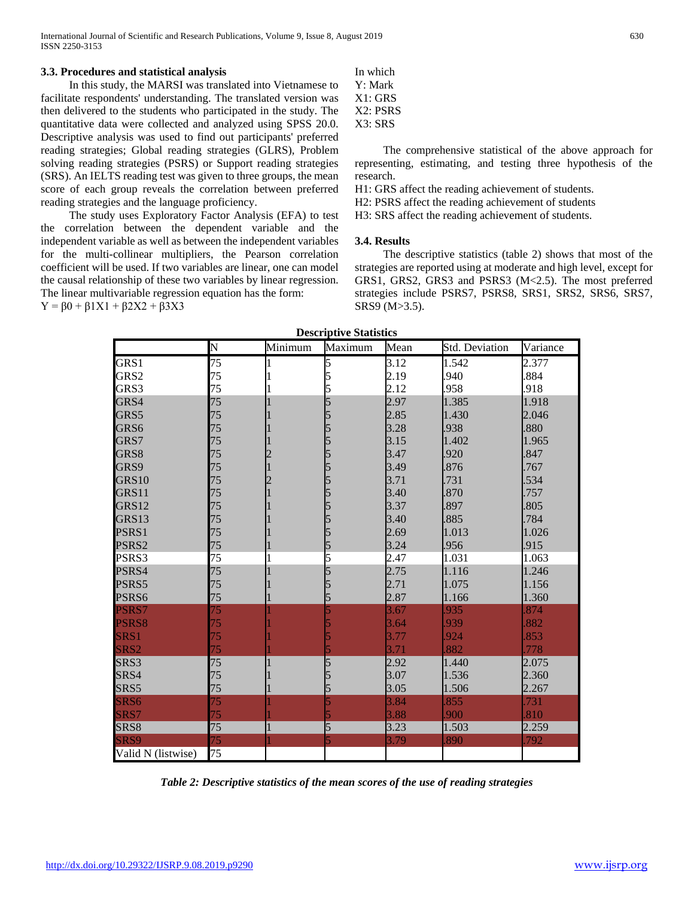### **3.3. Procedures and statistical analysis**

 In this study, the MARSI was translated into Vietnamese to facilitate respondents' understanding. The translated version was then delivered to the students who participated in the study. The quantitative data were collected and analyzed using SPSS 20.0. Descriptive analysis was used to find out participants' preferred reading strategies; Global reading strategies (GLRS), Problem solving reading strategies (PSRS) or Support reading strategies (SRS). An IELTS reading test was given to three groups, the mean score of each group reveals the correlation between preferred reading strategies and the language proficiency.

 The study uses Exploratory Factor Analysis (EFA) to test the correlation between the dependent variable and the independent variable as well as between the independent variables for the multi-collinear multipliers, the Pearson correlation coefficient will be used. If two variables are linear, one can model the causal relationship of these two variables by linear regression. The linear multivariable regression equation has the form:

 $Y = \beta 0 + \beta 1X1 + \beta 2X2 + \beta 3X3$ 

In which Y: Mark X1: GRS X2: PSRS X3: SRS

 The comprehensive statistical of the above approach for representing, estimating, and testing three hypothesis of the research.

H1: GRS affect the reading achievement of students.

H2: PSRS affect the reading achievement of students

H3: SRS affect the reading achievement of students.

#### **3.4. Results**

 The descriptive statistics (table 2) shows that most of the strategies are reported using at moderate and high level, except for GRS1, GRS2, GRS3 and PSRS3 (M<2.5). The most preferred strategies include PSRS7, PSRS8, SRS1, SRS2, SRS6, SRS7, SRS9 (M>3.5).

| <b>Descriptive Statistics</b> |  |
|-------------------------------|--|
|-------------------------------|--|

|                    | N  | Minimum | Maximum | Mean | Std. Deviation | Variance |
|--------------------|----|---------|---------|------|----------------|----------|
| GRS1               | 75 |         | 5       | 3.12 | 1.542          | 2.377    |
| GRS2               | 75 |         |         | 2.19 | .940           | .884     |
| GRS3               | 75 |         |         | 2.12 | .958           | .918     |
| GRS4               | 75 |         |         | 2.97 | 1.385          | 1.918    |
| GRS5               | 75 |         |         | 2.85 | 1.430          | 2.046    |
| GRS6               | 75 |         |         | 3.28 | .938           | .880     |
| GRS7               | 75 |         |         | 3.15 | 1.402          | 1.965    |
| GRS8               | 75 |         |         | 3.47 | .920           | .847     |
| GRS9               | 75 |         |         | 3.49 | .876           | .767     |
| GRS10              | 75 |         |         | 3.71 | .731           | .534     |
| GRS11              | 75 |         |         | 3.40 | 870            | .757     |
| GRS12              | 75 |         |         | 3.37 | .897           | .805     |
| GRS13              | 75 |         |         | 3.40 | .885           | .784     |
| PSRS1              | 75 |         |         | 2.69 | 1.013          | 1.026    |
| PSRS <sub>2</sub>  | 75 |         |         | 3.24 | .956           | .915     |
| PSRS3              | 75 |         |         | 2.47 | 1.031          | 1.063    |
| PSRS4              | 75 |         |         | 2.75 | 1.116          | 1.246    |
| PSRS5              | 75 |         |         | 2.71 | 1.075          | 1.156    |
| PSRS6              | 75 |         |         | 2.87 | 1.166          | 1.360    |
| PSRS7              | 75 |         |         | 3.67 | .935           | .874     |
| <b>PSRS8</b>       | 75 |         |         | 3.64 | .939           | 882      |
| SRS <sub>1</sub>   | 75 |         |         | 3.77 | .924           | 853      |
| SRS <sub>2</sub>   | 75 |         |         | 3.71 | 882            | 778      |
| SRS3               | 75 |         |         | 2.92 | 1.440          | 2.075    |
| SRS4               | 75 |         |         | 3.07 | 1.536          | 2.360    |
| SRS5               | 75 |         |         | 3.05 | 1.506          | 2.267    |
| SRS6               | 75 |         |         | 3.84 | .855           | .731     |
| SRS7               | 75 |         |         | 3.88 | .900           | .810     |
| SRS8               | 75 |         | 5       | 3.23 | 1.503          | 2.259    |
| SRS9               | 75 |         |         | 3.79 | .890           | 792      |
| Valid N (listwise) | 75 |         |         |      |                |          |

*Table 2: Descriptive statistics of the mean scores of the use of reading strategies*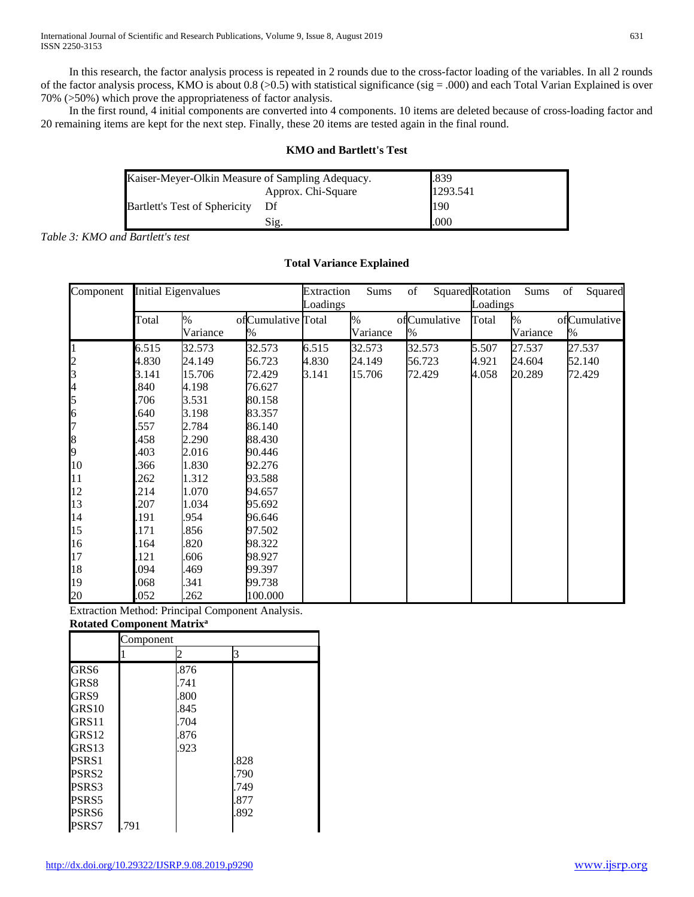In this research, the factor analysis process is repeated in 2 rounds due to the cross-factor loading of the variables. In all 2 rounds of the factor analysis process, KMO is about 0.8 (>0.5) with statistical significance (sig = .000) and each Total Varian Explained is over 70% (>50%) which prove the appropriateness of factor analysis.

 In the first round, 4 initial components are converted into 4 components. 10 items are deleted because of cross-loading factor and 20 remaining items are kept for the next step. Finally, these 20 items are tested again in the final round.

# **KMO and Bartlett's Test**

| Kaiser-Meyer-Olkin Measure of Sampling Adequacy. | .839               |          |
|--------------------------------------------------|--------------------|----------|
|                                                  | Approx. Chi-Square | 1293.541 |
| <b>Bartlett's Test of Sphericity</b>             | - Df               | 190      |
|                                                  | Sig.               | .000     |

*Table 3: KMO and Bartlett's test*

| Component Initial Eigenvalues |       |                           |                             | Extraction<br>Loadings | Sums                      | of                   | Squared Rotation<br>Loadings | Sums             | Squared<br>of        |
|-------------------------------|-------|---------------------------|-----------------------------|------------------------|---------------------------|----------------------|------------------------------|------------------|----------------------|
|                               | Total | $\frac{0}{0}$<br>Variance | of Cumulative Total<br>$\%$ |                        | $\frac{0}{0}$<br>Variance | ofCumulative<br>$\%$ | Total                        | $\%$<br>Variance | ofCumulative<br>$\%$ |
|                               | 6.515 | 32.573                    | 32.573                      | 6.515                  | 32.573                    | 32.573               | 5.507                        | 27.537           | 27.537               |
| $\overline{\mathbf{c}}$       | 4.830 | 24.149                    | 56.723                      | 4.830                  | 24.149                    | 56.723               | 4.921                        | 24.604           | 52.140               |
| 3                             | 3.141 | 15.706                    | 72.429                      | 3.141                  | 15.706                    | 72.429               | 4.058                        | 20.289           | 72.429               |
| 4                             | .840  | 4.198                     | 76.627                      |                        |                           |                      |                              |                  |                      |
| 5                             | 706   | 3.531                     | 80.158                      |                        |                           |                      |                              |                  |                      |
| 6                             | 640   | 3.198                     | 83.357                      |                        |                           |                      |                              |                  |                      |
| 7                             | 557   | 2.784                     | 86.140                      |                        |                           |                      |                              |                  |                      |
| 8                             | 458   | 2.290                     | 88.430                      |                        |                           |                      |                              |                  |                      |
| 9                             | 403   | 2.016                     | 90.446                      |                        |                           |                      |                              |                  |                      |
| 10                            | 366   | 1.830                     | 92.276                      |                        |                           |                      |                              |                  |                      |
| 11                            | 262   | 1.312                     | 93.588                      |                        |                           |                      |                              |                  |                      |
| 12                            | 214   | 1.070                     | 94.657                      |                        |                           |                      |                              |                  |                      |
| 13                            | 207   | 1.034                     | 95.692                      |                        |                           |                      |                              |                  |                      |
| 14                            | 191   | .954                      | 96.646                      |                        |                           |                      |                              |                  |                      |
| 15                            | 171   | .856                      | 97.502                      |                        |                           |                      |                              |                  |                      |
| 16                            | 164   | .820                      | 98.322                      |                        |                           |                      |                              |                  |                      |
| 17                            | 121   | .606                      | 98.927                      |                        |                           |                      |                              |                  |                      |
| 18                            | .094  | .469                      | 99.397                      |                        |                           |                      |                              |                  |                      |
| 19                            | .068  | .341                      | 99.738                      |                        |                           |                      |                              |                  |                      |
| 20                            | .052  | .262                      | 100.000                     |                        |                           |                      |                              |                  |                      |

### **Total Variance Explained**

Extraction Method: Principal Component Analysis. **Rotated Component Matrixa**

|                   | Component |      |      |
|-------------------|-----------|------|------|
|                   |           |      |      |
| GRS6              |           | .876 |      |
| GRS8              |           | .741 |      |
| GRS9              |           | .800 |      |
| GRS <sub>10</sub> |           | .845 |      |
| GRS11             |           | .704 |      |
| GRS12             |           | .876 |      |
| GRS13             |           | .923 |      |
| PSRS1             |           |      | .828 |
| PSRS2             |           |      | .790 |
| PSRS3             |           |      | .749 |
| PSRS5             |           |      | .877 |
| PSRS6             |           |      | 892  |
| PSRS7             | .791      |      |      |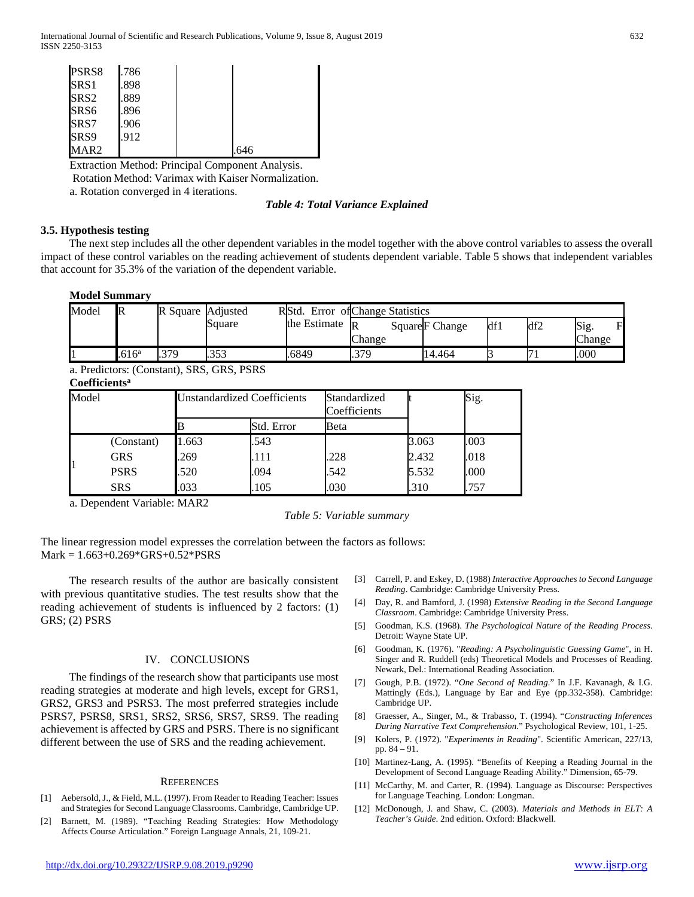| PSRS8            | .786 |      |
|------------------|------|------|
| SRS1             | .898 |      |
| SRS <sub>2</sub> | .889 |      |
| SRS6             | .896 |      |
| SRS7             | .906 |      |
| SRS9             | .912 |      |
| MAR <sub>2</sub> |      | .646 |

Extraction Method: Principal Component Analysis. Rotation Method: Varimax with Kaiser Normalization. a. Rotation converged in 4 iterations.

*Table 4: Total Variance Explained*

# **3.5. Hypothesis testing**

 The next step includes all the other dependent variables in the model together with the above control variables to assess the overall impact of these control variables on the reading achievement of students dependent variable. Table 5 shows that independent variables that account for 35.3% of the variation of the dependent variable.

# **Model Summary**

| Model | R                 | R Square Adjusted | Square       | R <sub>Std</sub> .<br>the Estimate | Error of Change Statistics<br>$\mathbb{R}$<br>Change | Square F Change | df1 | df2 | Sig.<br>Change |
|-------|-------------------|-------------------|--------------|------------------------------------|------------------------------------------------------|-----------------|-----|-----|----------------|
|       | .616 <sup>a</sup> | 370               | 252<br>. JJJ | 6849                               | 370                                                  | 14.464          |     |     | .000           |

a. Predictors: (Constant), SRS, GRS, PSRS **Coefficientsa**

| Model |             |       | Unstandardized Coefficients | Standardized<br>Coefficients |       | Sig. |  |  |  |
|-------|-------------|-------|-----------------------------|------------------------------|-------|------|--|--|--|
|       |             |       | Std. Error                  | Beta                         |       |      |  |  |  |
|       | (Constant)  | 1.663 | .543                        |                              | 3.063 | .003 |  |  |  |
|       | <b>GRS</b>  | .269  | .111                        | .228                         | 2.432 | .018 |  |  |  |
|       | <b>PSRS</b> | .520  | .094                        | 542                          | 5.532 | .000 |  |  |  |
|       | <b>SRS</b>  | .033  | .105                        | .030                         | .310  | .757 |  |  |  |

a. Dependent Variable: MAR2

### *Table 5: Variable summary*

The linear regression model expresses the correlation between the factors as follows: Mark = 1.663+0.269\*GRS+0.52\*PSRS

 The research results of the author are basically consistent with previous quantitative studies. The test results show that the reading achievement of students is influenced by 2 factors: (1) GRS; (2) PSRS

# IV. CONCLUSIONS

 The findings of the research show that participants use most reading strategies at moderate and high levels, except for GRS1, GRS2, GRS3 and PSRS3. The most preferred strategies include PSRS7, PSRS8, SRS1, SRS2, SRS6, SRS7, SRS9. The reading achievement is affected by GRS and PSRS. There is no significant different between the use of SRS and the reading achievement.

### **REFERENCES**

- [1] Aebersold, J., & Field, M.L. (1997). From Reader to Reading Teacher: Issues and Strategies for Second Language Classrooms. Cambridge, Cambridge UP.
- Barnett, M. (1989). "Teaching Reading Strategies: How Methodology Affects Course Articulation." Foreign Language Annals, 21, 109-21.
- [3] Carrell, P. and Eskey, D. (1988) *Interactive Approaches to Second Language Reading*. Cambridge: Cambridge University Press.
- [4] Day, R. and Bamford, J. (1998) *Extensive Reading in the Second Language Classroom*. Cambridge: Cambridge University Press.
- [5] Goodman, K.S. (1968). *The Psychological Nature of the Reading Process*. Detroit: Wayne State UP.
- [6] Goodman, K. (1976). "*Reading: A Psycholinguistic Guessing Game*", in H. Singer and R. Ruddell (eds) Theoretical Models and Processes of Reading. Newark, Del.: International Reading Association.
- [7] Gough, P.B. (1972). "*One Second of Reading*." In J.F. Kavanagh, & I.G. Mattingly (Eds.), Language by Ear and Eye (pp.332-358). Cambridge: Cambridge UP.
- [8] Graesser, A., Singer, M., & Trabasso, T. (1994). "*Constructing Inferences During Narrative Text Comprehension*." Psychological Review, 101, 1-25.
- [9] Kolers, P. (1972). "*Experiments in Reading*". Scientific American, 227/13, pp. 84 – 91.
- [10] Martinez-Lang, A. (1995). "Benefits of Keeping a Reading Journal in the Development of Second Language Reading Ability." Dimension, 65-79.
- [11] McCarthy, M. and Carter, R. (1994). Language as Discourse: Perspectives for Language Teaching. London: Longman.
- [12] McDonough, J. and Shaw, C. (2003). *Materials and Methods in ELT: A Teacher's Guide*. 2nd edition. Oxford: Blackwell.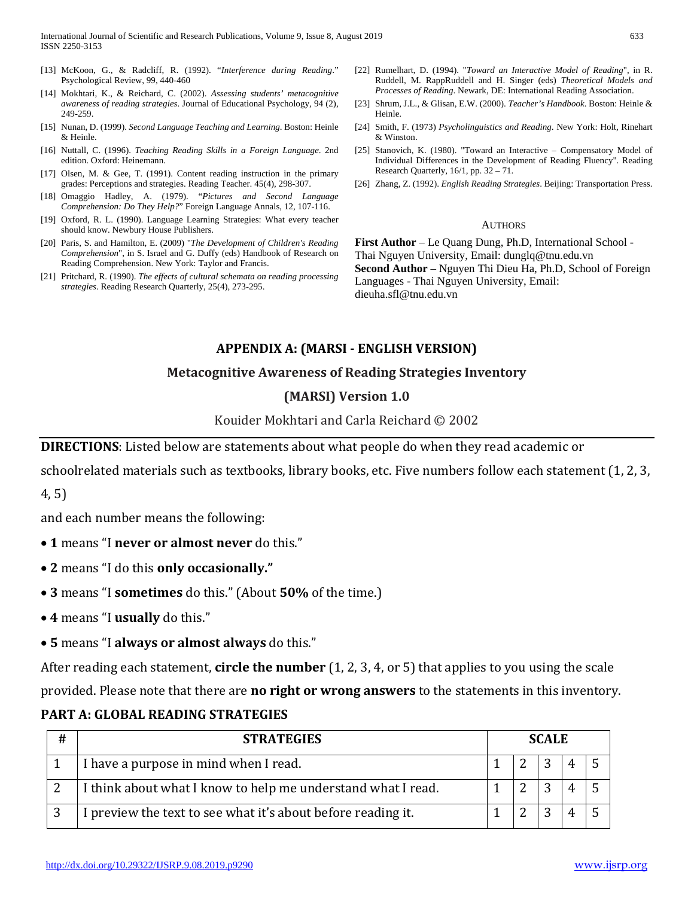- [13] McKoon, G., & Radcliff, R. (1992). "*Interference during Reading*." Psychological Review, 99, 440-460
- [14] Mokhtari, K., & Reichard, C. (2002). *Assessing students' metacognitive awareness of reading strategies*. Journal of Educational Psychology, 94 (2), 249-259.
- [15] Nunan, D. (1999). *Second Language Teaching and Learning*. Boston: Heinle & Heinle.
- [16] Nuttall, C. (1996). *Teaching Reading Skills in a Foreign Language*. 2nd edition. Oxford: Heinemann.
- [17] Olsen, M. & Gee, T. (1991). Content reading instruction in the primary grades: Perceptions and strategies. Reading Teacher. 45(4), 298-307.
- [18] Omaggio Hadley, A. (1979). "*Pictures and Second Language Comprehension: Do They Help?*" Foreign Language Annals, 12, 107-116.
- [19] Oxford, R. L. (1990). Language Learning Strategies: What every teacher should know. Newbury House Publishers.
- [20] Paris, S. and Hamilton, E. (2009) "*The Development of Children's Reading Comprehension*", in S. Israel and G. Duffy (eds) Handbook of Research on Reading Comprehension. New York: Taylor and Francis.
- [21] Pritchard, R. (1990). *The effects of cultural schemata on reading processing strategies*. Reading Research Quarterly, 25(4), 273-295.
- [22] Rumelhart, D. (1994). "*Toward an Interactive Model of Reading*", in R. Ruddell, M. RappRuddell and H. Singer (eds) *Theoretical Models and Processes of Reading*. Newark, DE: International Reading Association.
- [23] Shrum, J.L., & Glisan, E.W. (2000). *Teacher's Handbook*. Boston: Heinle & Heinle.
- [24] Smith, F. (1973) *Psycholinguistics and Reading*. New York: Holt, Rinehart & Winston.
- [25] Stanovich, K. (1980). "Toward an Interactive Compensatory Model of Individual Differences in the Development of Reading Fluency". Reading Research Quarterly,  $16/1$ , pp.  $32 - 71$ .
- [26] Zhang, Z. (1992). *English Reading Strategies*. Beijing: Transportation Press.

#### **AUTHORS**

**First Author** – Le Quang Dung, Ph.D, International School - Thai Nguyen University, Email: dunglq@tnu.edu.vn **Second Author** – Nguyen Thi Dieu Ha, Ph.D, School of Foreign Languages - Thai Nguyen University, Email: dieuha.sfl@tnu.edu.vn

# **APPENDIX A: (MARSI - ENGLISH VERSION)**

# **Metacognitive Awareness of Reading Strategies Inventory**

# **(MARSI) Version 1.0**

Kouider Mokhtari and Carla Reichard © 2002

# **DIRECTIONS**: Listed below are statements about what people do when they read academic or

schoolrelated materials such as textbooks, library books, etc. Five numbers follow each statement (1, 2, 3,

4, 5)

and each number means the following:

- **1** means "I **never or almost never** do this."
- **2** means "I do this **only occasionally."**
- **3** means "I **sometimes** do this." (About **50%** of the time.)
- **4** means "I **usually** do this."
- **5** means "I **always or almost always** do this."

After reading each statement, **circle the number** (1, 2, 3, 4, or 5) that applies to you using the scale

provided. Please note that there are **no right or wrong answers** to the statements in this inventory.

# **PART A: GLOBAL READING STRATEGIES**

| # | <b>STRATEGIES</b>                                            | <b>SCALE</b> |  |   |           |  |
|---|--------------------------------------------------------------|--------------|--|---|-----------|--|
|   | I have a purpose in mind when I read.                        |              |  |   | $\Delta$  |  |
|   | I think about what I know to help me understand what I read. |              |  |   | $\Lambda$ |  |
|   | I preview the text to see what it's about before reading it. |              |  | 2 |           |  |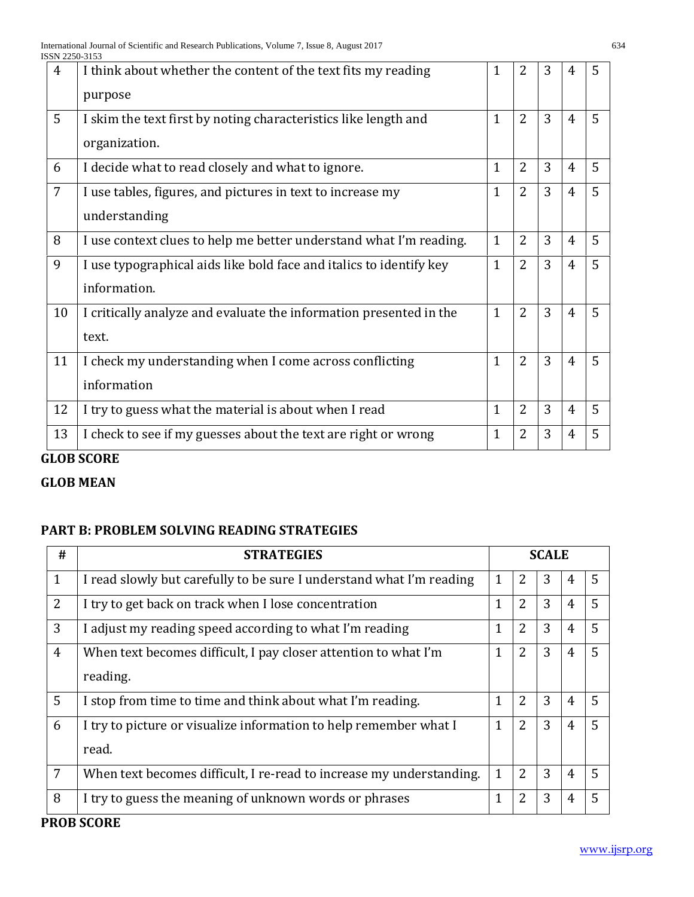| ISSN 2250-3153 |                                                                                     |              |                |   |                |   |
|----------------|-------------------------------------------------------------------------------------|--------------|----------------|---|----------------|---|
| $\overline{4}$ | I think about whether the content of the text fits my reading<br>purpose            | $\mathbf{1}$ | $\overline{2}$ | 3 | $\overline{4}$ | 5 |
| 5              | I skim the text first by noting characteristics like length and<br>organization.    | $\mathbf{1}$ | $\overline{2}$ | 3 | 4              | 5 |
| 6              | I decide what to read closely and what to ignore.                                   | $\mathbf{1}$ | $\overline{2}$ | 3 | $\overline{4}$ | 5 |
| $\overline{7}$ | I use tables, figures, and pictures in text to increase my<br>understanding         | 1            | 2              | 3 | $\overline{4}$ | 5 |
| 8              | I use context clues to help me better understand what I'm reading.                  | $\mathbf{1}$ | $\overline{2}$ | 3 | $\overline{4}$ | 5 |
| 9              | I use typographical aids like bold face and italics to identify key<br>information. | $\mathbf{1}$ | $\overline{2}$ | 3 | $\overline{4}$ | 5 |
| 10             | I critically analyze and evaluate the information presented in the<br>text.         | $\mathbf{1}$ | $\overline{2}$ | 3 | $\overline{4}$ | 5 |
| 11             | I check my understanding when I come across conflicting<br>information              | $\mathbf{1}$ | $\overline{2}$ | 3 | $\overline{4}$ | 5 |
| 12             | I try to guess what the material is about when I read                               | $\mathbf{1}$ | $\overline{2}$ | 3 | $\overline{4}$ | 5 |
| 13             | I check to see if my guesses about the text are right or wrong                      | $\mathbf{1}$ | 2              | 3 | $\overline{4}$ | 5 |
|                | $\alpha$ i ad c $\alpha$ ade                                                        |              |                |   |                |   |

# **GLOB SCORE**

# **GLOB MEAN**

# **PART B: PROBLEM SOLVING READING STRATEGIES**

| #              | <b>STRATEGIES</b>                                                           |                |                | <b>SCALE</b> |   |   |
|----------------|-----------------------------------------------------------------------------|----------------|----------------|--------------|---|---|
| $\mathbf{1}$   | I read slowly but carefully to be sure I understand what I'm reading        | $\mathbf{1}$   | 2              | 3            | 4 | 5 |
| $\overline{2}$ | I try to get back on track when I lose concentration                        | $\mathbf{1}$   | 2              | 3            | 4 | 5 |
| 3              | I adjust my reading speed according to what I'm reading                     | 1              | $\overline{2}$ | 3            | 4 | 5 |
| $\overline{4}$ | When text becomes difficult, I pay closer attention to what I'm<br>reading. | $\mathbf{1}$   | $\overline{2}$ | 3            | 4 | 5 |
| 5              | I stop from time to time and think about what I'm reading.                  | $\mathbf{1}$   | $\overline{2}$ | 3            | 4 | 5 |
| 6              | I try to picture or visualize information to help remember what I<br>read.  | 1              | 2              | 3            | 4 | 5 |
| 7              | When text becomes difficult, I re-read to increase my understanding.        | $\mathbf{1}$   | $\overline{2}$ | 3            | 4 | 5 |
| 8              | I try to guess the meaning of unknown words or phrases                      | $\overline{1}$ | 2              | 3            | 4 |   |
|                | <b>PROB SCORE</b>                                                           |                |                |              |   |   |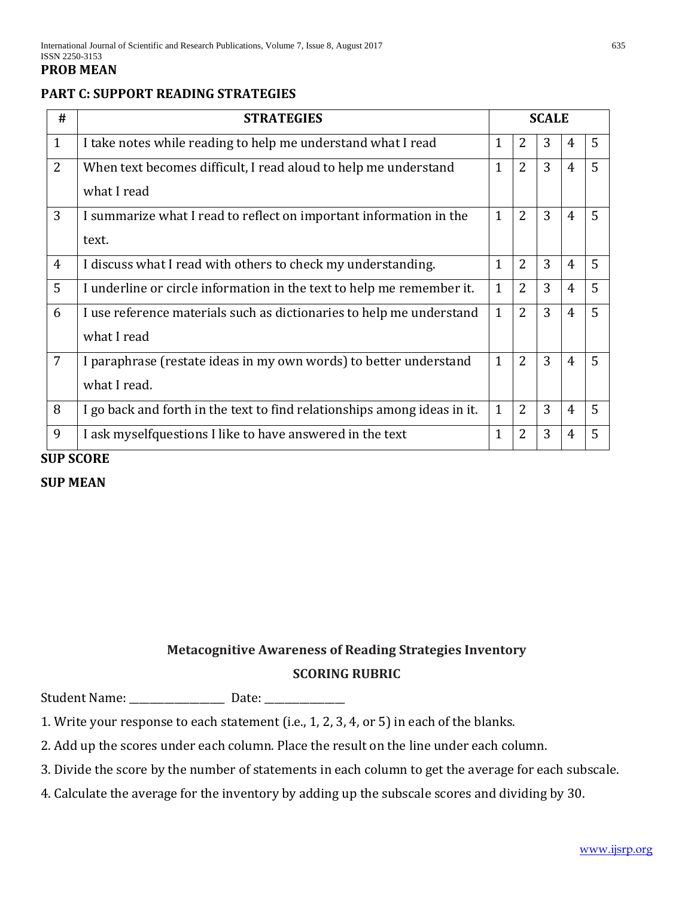# **PROB MEAN**

# **PART C: SUPPORT READING STRATEGIES**

| #                   | <b>STRATEGIES</b>                                                        | <b>SCALE</b> |                |   |                |                |
|---------------------|--------------------------------------------------------------------------|--------------|----------------|---|----------------|----------------|
| $\mathbf{1}$        | I take notes while reading to help me understand what I read             | $\mathbf{1}$ | 2              | 3 | $\overline{4}$ | $\overline{5}$ |
| $\overline{2}$      | When text becomes difficult, I read aloud to help me understand          | $\mathbf{1}$ | $\overline{2}$ | 3 | $\overline{4}$ | 5              |
|                     | what I read                                                              |              |                |   |                |                |
| 3                   | I summarize what I read to reflect on important information in the       | $\mathbf{1}$ | $\overline{2}$ | 3 | $\overline{4}$ | 5              |
|                     | text.                                                                    |              |                |   |                |                |
| $\overline{4}$      | I discuss what I read with others to check my understanding.             | $\mathbf{1}$ | $\overline{2}$ | 3 | $\overline{4}$ | 5              |
| 5                   | I underline or circle information in the text to help me remember it.    | $\mathbf{1}$ | $\overline{2}$ | 3 | $\overline{4}$ | 5              |
| 6                   | I use reference materials such as dictionaries to help me understand     | $\mathbf{1}$ | $\overline{2}$ | 3 | $\overline{4}$ | 5              |
|                     | what I read                                                              |              |                |   |                |                |
| $\overline{7}$      | I paraphrase (restate ideas in my own words) to better understand        | $\mathbf{1}$ | $\overline{2}$ | 3 | $\overline{4}$ | $\overline{5}$ |
|                     | what I read.                                                             |              |                |   |                |                |
| 8                   | I go back and forth in the text to find relationships among ideas in it. | $\mathbf{1}$ | $\overline{2}$ | 3 | $\overline{4}$ | 5              |
| 9                   | I ask myselfquestions I like to have answered in the text                | $\mathbf{1}$ | $\overline{2}$ | 3 | $\overline{4}$ | 5              |
| CIID C <i>C</i> ODE |                                                                          |              |                |   |                |                |

**SUP SCORE**

**SUP MEAN**

# **Metacognitive Awareness of Reading Strategies Inventory SCORING RUBRIC**

Student Name: \_\_\_\_\_\_\_\_\_\_\_\_\_\_\_\_\_\_\_ Date: \_\_\_\_\_\_\_\_\_\_\_\_\_\_\_\_

1. Write your response to each statement (i.e., 1, 2, 3, 4, or 5) in each of the blanks.

2. Add up the scores under each column. Place the result on the line under each column.

3. Divide the score by the number of statements in each column to get the average for each subscale.

4. Calculate the average for the inventory by adding up the subscale scores and dividing by 30.